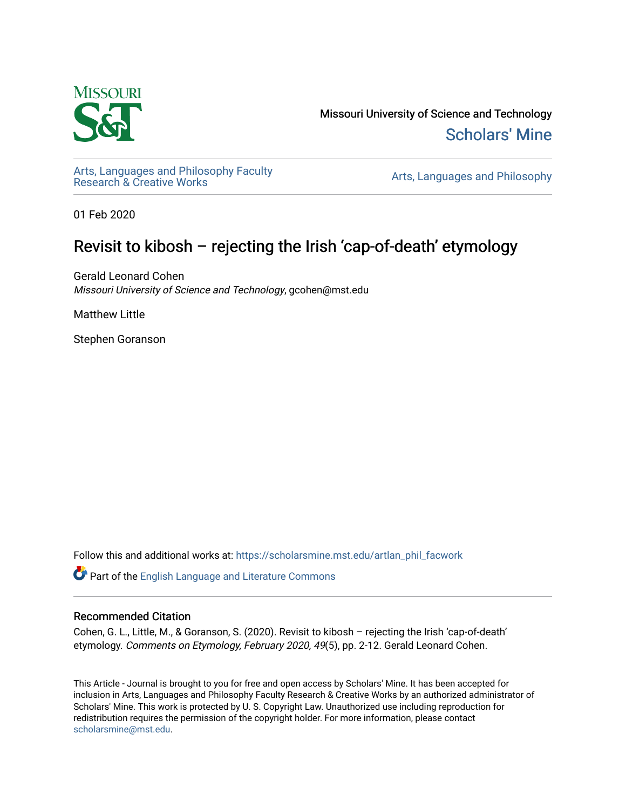

Missouri University of Science and Technology [Scholars' Mine](https://scholarsmine.mst.edu/) 

[Arts, Languages and Philosophy Faculty](https://scholarsmine.mst.edu/artlan_phil_facwork) 

Arts, Languages and Philosophy

01 Feb 2020

# Revisit to kibosh – rejecting the Irish 'cap-of-death' etymology

Gerald Leonard Cohen Missouri University of Science and Technology, gcohen@mst.edu

Matthew Little

Stephen Goranson

Follow this and additional works at: [https://scholarsmine.mst.edu/artlan\\_phil\\_facwork](https://scholarsmine.mst.edu/artlan_phil_facwork?utm_source=scholarsmine.mst.edu%2Fartlan_phil_facwork%2F197&utm_medium=PDF&utm_campaign=PDFCoverPages) 

Part of the [English Language and Literature Commons](http://network.bepress.com/hgg/discipline/455?utm_source=scholarsmine.mst.edu%2Fartlan_phil_facwork%2F197&utm_medium=PDF&utm_campaign=PDFCoverPages)

#### Recommended Citation

Cohen, G. L., Little, M., & Goranson, S. (2020). Revisit to kibosh – rejecting the Irish 'cap-of-death' etymology. Comments on Etymology, February 2020, 49(5), pp. 2-12. Gerald Leonard Cohen.

This Article - Journal is brought to you for free and open access by Scholars' Mine. It has been accepted for inclusion in Arts, Languages and Philosophy Faculty Research & Creative Works by an authorized administrator of Scholars' Mine. This work is protected by U. S. Copyright Law. Unauthorized use including reproduction for redistribution requires the permission of the copyright holder. For more information, please contact [scholarsmine@mst.edu.](mailto:scholarsmine@mst.edu)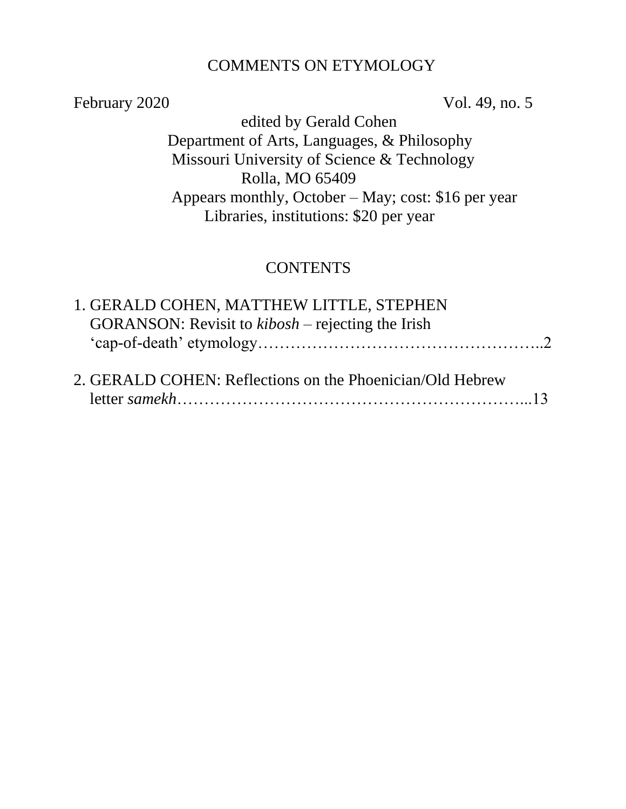### COMMENTS ON ETYMOLOGY

February 2020 Vol. 49, no. 5

 edited by Gerald Cohen Department of Arts, Languages, & Philosophy Missouri University of Science & Technology Rolla, MO 65409 Appears monthly, October – May; cost: \$16 per year Libraries, institutions: \$20 per year

# **CONTENTS**

| 1. GERALD COHEN, MATTHEW LITTLE, STEPHEN                          |  |
|-------------------------------------------------------------------|--|
| GORANSON: Revisit to $\kappa i \text{bosh}$ – rejecting the Irish |  |
|                                                                   |  |
| 2. GERALD COHEN: Reflections on the Phoenician/Old Hebrew         |  |
|                                                                   |  |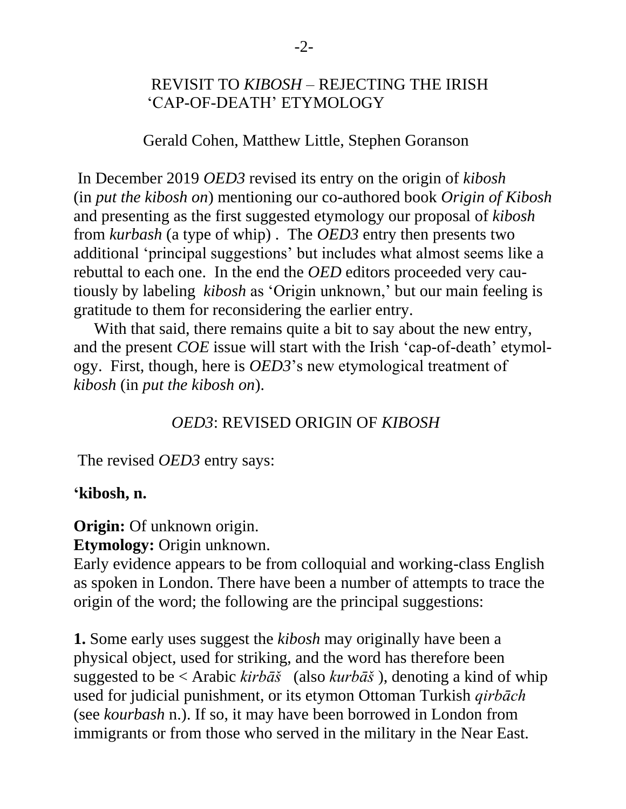# REVISIT TO *KIBOSH* – REJECTING THE IRISH 'CAP-OF-DEATH' ETYMOLOGY

Gerald Cohen, Matthew Little, Stephen Goranson

In December 2019 *OED3* revised its entry on the origin of *kibosh* (in *put the kibosh on*) mentioning our co-authored book *Origin of Kibosh*  and presenting as the first suggested etymology our proposal of *kibosh* from *kurbash* (a type of whip) . The *OED3* entry then presents two additional 'principal suggestions' but includes what almost seems like a rebuttal to each one. In the end the *OED* editors proceeded very cautiously by labeling *kibosh* as 'Origin unknown,' but our main feeling is gratitude to them for reconsidering the earlier entry.

 With that said, there remains quite a bit to say about the new entry, and the present *COE* issue will start with the Irish 'cap-of-death' etymology. First, though, here is *OED3*'s new etymological treatment of *kibosh* (in *put the kibosh on*).

# *OED3*: REVISED ORIGIN OF *KIBOSH*

The revised *OED3* entry says:

#### **'kibosh, n.**

**Origin:** Of unknown origin.

**Etymology:** Origin unknown.

Early evidence appears to be from colloquial and working-class English as spoken in London. There have been a number of attempts to trace the origin of the word; the following are the principal suggestions:

**1.** Some early uses suggest the *kibosh* may originally have been a physical object, used for striking, and the word has therefore been suggested to be < Arabic *kirbāš* (also *kurbāš* ), denoting a kind of whip used for judicial punishment, or its etymon Ottoman Turkish *qirbāch* (see *[kourbash](https://www-oed-com.libproxy.mst.edu/view/Entry/104408#eid40056215)* n.). If so, it may have been borrowed in London from immigrants or from those who served in the military in the Near East.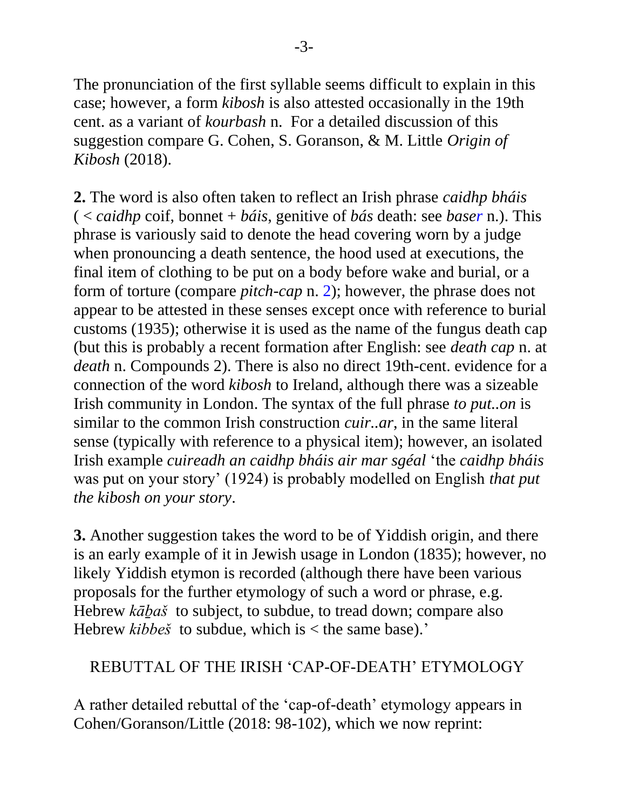The pronunciation of the first syllable seems difficult to explain in this case; however, a form *kibosh* is also attested occasionally in the 19th cent. as a variant of *[kourbash](https://www-oed-com.libproxy.mst.edu/view/Entry/104408#eid40056215)* n. For a detailed discussion of this suggestion compare G. Cohen, S. Goranson, & M. Little *Origin of Kibosh* (2018).

**2.** The word is also often taken to reflect an Irish phrase *caidhp bháis* ( < *caidhp* coif, bonnet + *báis*, genitive of *bás* death: see *[baser](https://www-oed-com.libproxy.mst.edu/view/Entry/15879#eid26793087)* n.). This phrase is variously said to denote the head covering worn by a judge when pronouncing a death sentence, the hood used at executions, the final item of clothing to be put on a body before wake and burial, or a form of torture (compare *[pitch-cap](https://www-oed-com.libproxy.mst.edu/view/Entry/144692#eid29856448)* n. 2); however, the phrase does not appear to be attested in these senses except once with reference to burial customs (1935); otherwise it is used as the name of the fungus death cap (but this is probably a recent formation after English: see *[death cap](https://www-oed-com.libproxy.mst.edu/view/Entry/47766#eid7280955)* n. at *death* n. [Compounds](https://www-oed-com.libproxy.mst.edu/view/Entry/47766#eid7280955) 2). There is also no direct 19th-cent. evidence for a connection of the word *kibosh* to Ireland, although there was a sizeable Irish community in London. The syntax of the full phrase *to put..on* is similar to the common Irish construction *cuir..ar*, in the same literal sense (typically with reference to a physical item); however, an isolated Irish example *cuireadh an caidhp bháis air mar sgéal* 'the *caidhp bháis* was put on your story' (1924) is probably modelled on English *that put the kibosh on your story*.

**3.** Another suggestion takes the word to be of Yiddish origin, and there is an early example of it in Jewish usage in London (1835); however, no likely Yiddish etymon is recorded (although there have been various proposals for the further etymology of such a word or phrase, e.g. Hebrew *kāḇaš* to subject, to subdue, to tread down; compare also Hebrew *kibbeš* to subdue, which is < the same base).'

# REBUTTAL OF THE IRISH 'CAP-OF-DEATH' ETYMOLOGY

A rather detailed rebuttal of the 'cap-of-death' etymology appears in Cohen/Goranson/Little (2018: 98-102), which we now reprint: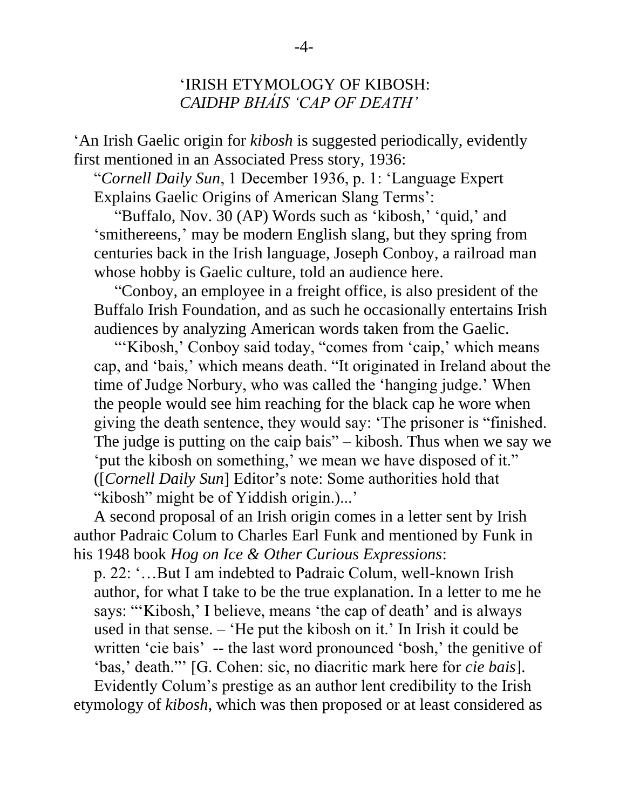### 'IRISH ETYMOLOGY OF KIBOSH: *CAIDHP BHÁIS 'CAP OF DEATH'*

'An Irish Gaelic origin for *kibosh* is suggested periodically, evidently first mentioned in an Associated Press story, 1936:

"*Cornell Daily Sun*, 1 December 1936, p. 1: 'Language Expert Explains Gaelic Origins of American Slang Terms':

 "Buffalo, Nov. 30 (AP) Words such as 'kibosh,' 'quid,' and 'smithereens,' may be modern English slang, but they spring from centuries back in the Irish language, Joseph Conboy, a railroad man whose hobby is Gaelic culture, told an audience here.

 "Conboy, an employee in a freight office, is also president of the Buffalo Irish Foundation, and as such he occasionally entertains Irish audiences by analyzing American words taken from the Gaelic.

"'Kibosh,' Conboy said today, "comes from 'caip,' which means cap, and 'bais,' which means death. "It originated in Ireland about the time of Judge Norbury, who was called the 'hanging judge.' When the people would see him reaching for the black cap he wore when giving the death sentence, they would say: 'The prisoner is "finished. The judge is putting on the caip bais" – kibosh. Thus when we say we 'put the kibosh on something,' we mean we have disposed of it." ([*Cornell Daily Sun*] Editor's note: Some authorities hold that "kibosh" might be of Yiddish origin.)...'

 A second proposal of an Irish origin comes in a letter sent by Irish author Padraic Colum to Charles Earl Funk and mentioned by Funk in his 1948 book *Hog on Ice & Other Curious Expressions*:

 p. 22: '…But I am indebted to Padraic Colum, well-known Irish author, for what I take to be the true explanation. In a letter to me he says: "'Kibosh,' I believe, means 'the cap of death' and is always used in that sense. – 'He put the kibosh on it.' In Irish it could be written 'cie bais' -- the last word pronounced 'bosh,' the genitive of 'bas,' death."' [G. Cohen: sic, no diacritic mark here for *cie bais*].

 Evidently Colum's prestige as an author lent credibility to the Irish etymology of *kibosh*, which was then proposed or at least considered as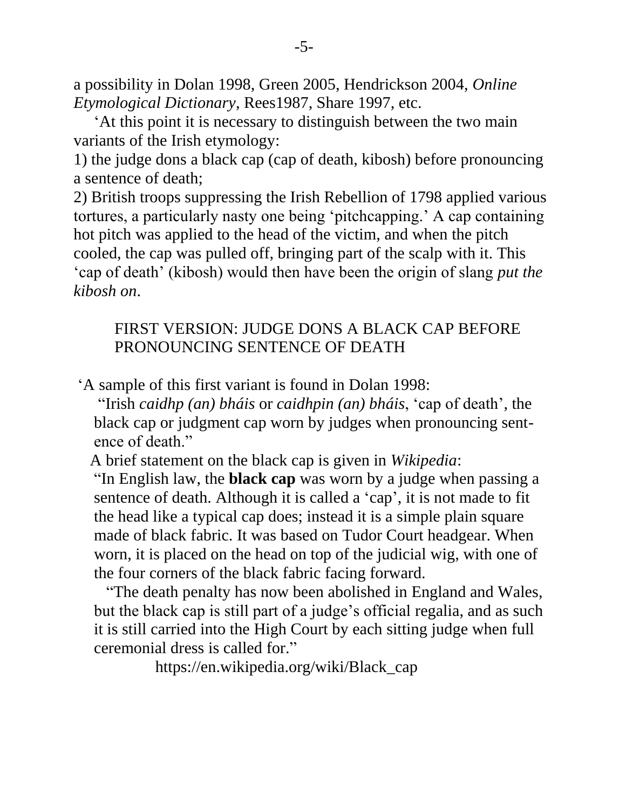a possibility in Dolan 1998, Green 2005, Hendrickson 2004, *Online Etymological Dictionary*, Rees1987, Share 1997, etc.

 'At this point it is necessary to distinguish between the two main variants of the Irish etymology:

1) the judge dons a black cap (cap of death, kibosh) before pronouncing a sentence of death;

2) British troops suppressing the Irish Rebellion of 1798 applied various tortures, a particularly nasty one being 'pitchcapping.' A cap containing hot pitch was applied to the head of the victim, and when the pitch cooled, the cap was pulled off, bringing part of the scalp with it. This 'cap of death' (kibosh) would then have been the origin of slang *put the kibosh on*.

# FIRST VERSION: JUDGE DONS A BLACK CAP BEFORE PRONOUNCING SENTENCE OF DEATH

'A sample of this first variant is found in Dolan 1998:

 "Irish *caidhp (an) bháis* or *caidhpin (an) bháis*, 'cap of death', the black cap or judgment cap worn by judges when pronouncing sent ence of death."

A brief statement on the black cap is given in *Wikipedia*:

 "In [English law,](https://minermail.mst.edu/owa/redir.aspx?SURL=dgbG1_or9jnm3P94-l1KHKJ-XponzXWI7gVC9Ni5aDouIGsbDLPTCGgAdAB0AHAAcwA6AC8ALwBlAG4ALgB3AGkAawBpAHAAZQBkAGkAYQAuAG8AcgBnAC8AdwBpAGsAaQAvAEUAbgBnAGwAaQBzAGgAXwBsAGEAdwA.&URL=https%3a%2f%2fen.wikipedia.org%2fwiki%2fEnglish_law) the **black cap** was worn by a [judge](https://minermail.mst.edu/owa/redir.aspx?SURL=dmK-CWMtn1yZyMYgQmr6vXk_8YjEqQSSo2WZENRHv0kuIGsbDLPTCGgAdAB0AHAAcwA6AC8ALwBlAG4ALgB3AGkAawBpAHAAZQBkAGkAYQAuAG8AcgBnAC8AdwBpAGsAaQAvAEoAdQBkAGcAZQA.&URL=https%3a%2f%2fen.wikipedia.org%2fwiki%2fJudge) when passing a sentence of death. Although it is called a ['cap'](https://minermail.mst.edu/owa/redir.aspx?SURL=RIiSbxCxnK34RHmWYUXPgzSvmWs25K1clvIrn2uErYcuIGsbDLPTCGgAdAB0AHAAcwA6AC8ALwBlAG4ALgB3AGkAawBpAHAAZQBkAGkAYQAuAG8AcgBnAC8AdwBpAGsAaQAvAEMAYQBwAA..&URL=https%3a%2f%2fen.wikipedia.org%2fwiki%2fCap), it is not made to fit the head like a typical cap does; instead it is a simple plain square made of black fabric. It was based on Tudor Court headgear. When worn, it is placed on the head on top of the judicial [wig,](https://minermail.mst.edu/owa/redir.aspx?SURL=UFIcTkm08QahSnFp4AzTW3BUCyMUCLySPinw7bL_SiQuIGsbDLPTCGgAdAB0AHAAcwA6AC8ALwBlAG4ALgB3AGkAawBpAHAAZQBkAGkAYQAuAG8AcgBnAC8AdwBpAGsAaQAvAFcAaQBnAA..&URL=https%3a%2f%2fen.wikipedia.org%2fwiki%2fWig) with one of the four corners of the black fabric facing forward.

 "The death penalty has now been abolished in [England and Wales,](https://minermail.mst.edu/owa/redir.aspx?SURL=OfJ7u9fIkXq3k4fCyFfsebGqoshZHAUbi46SNWXcY9MuIGsbDLPTCGgAdAB0AHAAcwA6AC8ALwBlAG4ALgB3AGkAawBpAHAAZQBkAGkAYQAuAG8AcgBnAC8AdwBpAGsAaQAvAEUAbgBnAGwAYQBuAGQAXwBhAG4AZABfAFcAYQBsAGUAcwA.&URL=https%3a%2f%2fen.wikipedia.org%2fwiki%2fEngland_and_Wales) but the black cap is still part of a judge's official [regalia,](https://minermail.mst.edu/owa/redir.aspx?SURL=DIuazcPFO2FPZHhr6I_M9G-Jd82h4UJ_QiSDWRNNAn8uIGsbDLPTCGgAdAB0AHAAcwA6AC8ALwBlAG4ALgB3AGkAawBpAHAAZQBkAGkAYQAuAG8AcgBnAC8AdwBpAGsAaQAvAEMAbwB1AHIAdABfAGQAcgBlAHMAcwA.&URL=https%3a%2f%2fen.wikipedia.org%2fwiki%2fCourt_dress) and as such it is still carried into the [High Court](https://minermail.mst.edu/owa/redir.aspx?SURL=GJugqdxDWKR15QAkNHHjZBZkyNNY1ldMNkQKyNgz2qIuIGsbDLPTCGgAdAB0AHAAcwA6AC8ALwBlAG4ALgB3AGkAawBpAHAAZQBkAGkAYQAuAG8AcgBnAC8AdwBpAGsAaQAvAEgAaQBnAGgAXwBDAG8AdQByAHQAXwBvAGYAXwBKAHUAcwB0AGkAYwBlAA..&URL=https%3a%2f%2fen.wikipedia.org%2fwiki%2fHigh_Court_of_Justice) by each sitting judge when full ceremonial dress is called for."

[https://en.wikipedia.org/wiki/Black\\_cap](https://en.wikipedia.org/wiki/Black_cap)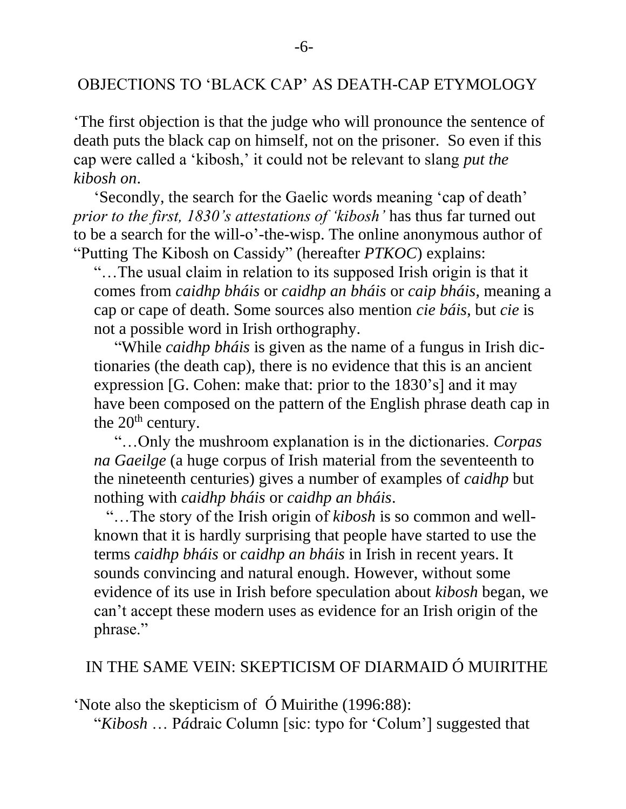#### OBJECTIONS TO 'BLACK CAP' AS DEATH-CAP ETYMOLOGY

'The first objection is that the judge who will pronounce the sentence of death puts the black cap on himself, not on the prisoner. So even if this cap were called a 'kibosh,' it could not be relevant to slang *put the kibosh on*.

 'Secondly, the search for the Gaelic words meaning 'cap of death' *prior to the first, 1830's attestations of 'kibosh'* has thus far turned out to be a search for the will-o'-the-wisp. The online anonymous author of "Putting The Kibosh on Cassidy" (hereafter *PTKOC*) explains:

 "…The usual claim in relation to its supposed Irish origin is that it comes from *caidhp bháis* or *caidhp an bháis* or *caip bháis*, meaning a cap or cape of death. Some sources also mention *cie báis*, but *cie* is not a possible word in Irish orthography.

 "While *caidhp bháis* is given as the name of a fungus in Irish dic tionaries (the death cap), there is no evidence that this is an ancient expression [G. Cohen: make that: prior to the 1830's] and it may have been composed on the pattern of the English phrase death cap in the  $20<sup>th</sup>$  century.

 "…Only the mushroom explanation is in the dictionaries. *Corpas na Gaeilge* (a huge corpus of Irish material from the seventeenth to the nineteenth centuries) gives a number of examples of *caidhp* but nothing with *caidhp bháis* or *caidhp an bháis*.

 "…The story of the Irish origin of *kibosh* is so common and well known that it is hardly surprising that people have started to use the terms *caidhp bháis* or *caidhp an bháis* in Irish in recent years. It sounds convincing and natural enough. However, without some evidence of its use in Irish before speculation about *kibosh* began, we can't accept these modern uses as evidence for an Irish origin of the phrase."

### IN THE SAME VEIN: SKEPTICISM OF DIARMAID Ó MUIRITHE

'Note also the skepticism of Ó Muirithe (1996:88):

"*Kibosh* … P*á*draic Column [sic: typo for 'Colum'] suggested that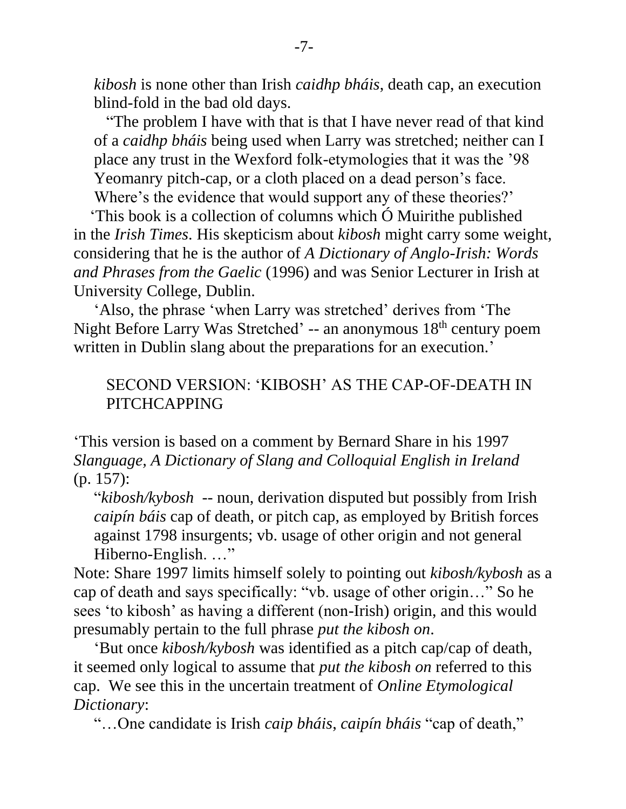*kibosh* is none other than Irish *caidhp bháis*, death cap, an execution blind-fold in the bad old days.

 "The problem I have with that is that I have never read of that kind of a *caidhp bháis* being used when Larry was stretched; neither can I place any trust in the Wexford folk-etymologies that it was the '98 Yeomanry pitch-cap, or a cloth placed on a dead person's face. Where's the evidence that would support any of these theories?'

'This book is a collection of columns which Ó Muirithe published in the *Irish Times*. His skepticism about *kibosh* might carry some weight, considering that he is the author of *A Dictionary of Anglo-Irish: Words and Phrases from the Gaelic* (1996) and was Senior Lecturer in Irish at University College, Dublin.

'Also, the phrase 'when Larry was stretched' derives from 'The Night Before Larry Was Stretched' -- an anonymous 18<sup>th</sup> century poem written in Dublin slang about the preparations for an execution.'

# SECOND VERSION: 'KIBOSH' AS THE CAP-OF-DEATH IN PITCHCAPPING

'This version is based on a comment by Bernard Share in his 1997 *Slanguage, A Dictionary of Slang and Colloquial English in Ireland* (p. 157):

 "*kibosh/kybosh* -- noun, derivation disputed but possibly from Irish *caipín báis* cap of death, or pitch cap, as employed by British forces against 1798 insurgents; vb. usage of other origin and not general Hiberno-English. …"

Note: Share 1997 limits himself solely to pointing out *kibosh/kybosh* as a cap of death and says specifically: "vb. usage of other origin…" So he sees 'to kibosh' as having a different (non-Irish) origin, and this would presumably pertain to the full phrase *put the kibosh on*.

 'But once *kibosh/kybosh* was identified as a pitch cap/cap of death, it seemed only logical to assume that *put the kibosh on* referred to this cap. We see this in the uncertain treatment of *Online Etymological Dictionary*:

"…One candidate is Irish *caip bháis*, *caipín bháis* "cap of death,"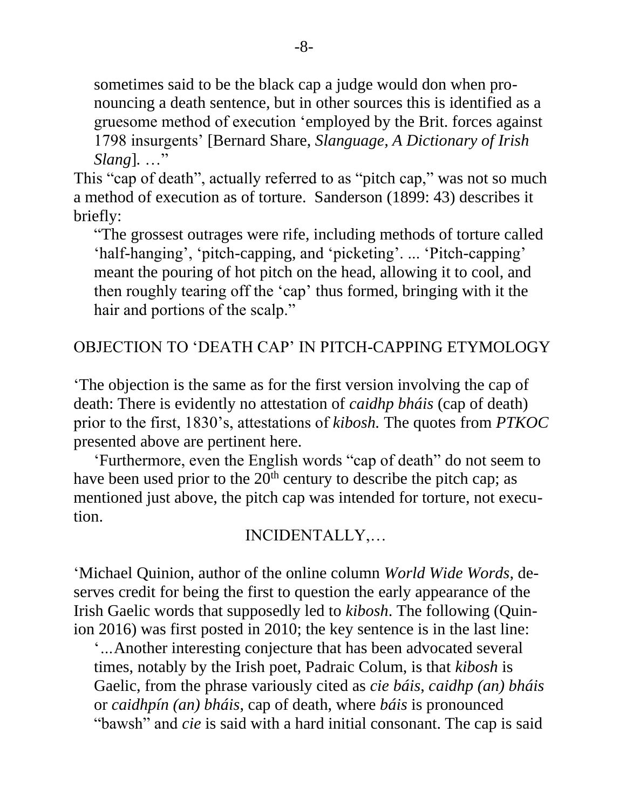sometimes said to be the black cap a judge would don when pro nouncing a death sentence, but in other sources this is identified as a gruesome method of execution 'employed by the Brit. forces against 1798 insurgents' [Bernard Share, *Slanguage, A Dictionary of Irish Slang*]*.* …"

This "cap of death", actually referred to as "pitch cap," was not so much a method of execution as of torture. Sanderson (1899: 43) describes it briefly:

 "The grossest outrages were rife, including methods of torture called 'half-hanging', 'pitch-capping, and 'picketing'. ... 'Pitch-capping' meant the pouring of hot pitch on the head, allowing it to cool, and then roughly tearing off the 'cap' thus formed, bringing with it the hair and portions of the scalp."

# OBJECTION TO 'DEATH CAP' IN PITCH-CAPPING ETYMOLOGY

'The objection is the same as for the first version involving the cap of death: There is evidently no attestation of *caidhp bháis* (cap of death) prior to the first, 1830's, attestations of *kibosh.* The quotes from *PTKOC*  presented above are pertinent here.

 'Furthermore, even the English words "cap of death" do not seem to have been used prior to the  $20<sup>th</sup>$  century to describe the pitch cap; as mentioned just above, the pitch cap was intended for torture, not execution.

# INCIDENTALLY,…

'Michael Quinion, author of the online column *World Wide Words*, deserves credit for being the first to question the early appearance of the Irish Gaelic words that supposedly led to *kibosh*. The following (Quinion 2016) was first posted in 2010; the key sentence is in the last line:

'*…*Another interesting conjecture that has been advocated several times, notably by the Irish poet, Padraic Colum, is that *kibosh* is Gaelic, from the phrase variously cited as *cie báis*, *caidhp (an) bháis* or *caidhpín (an) bháis*, cap of death, where *báis* is pronounced "bawsh" and *cie* is said with a hard initial consonant. The cap is said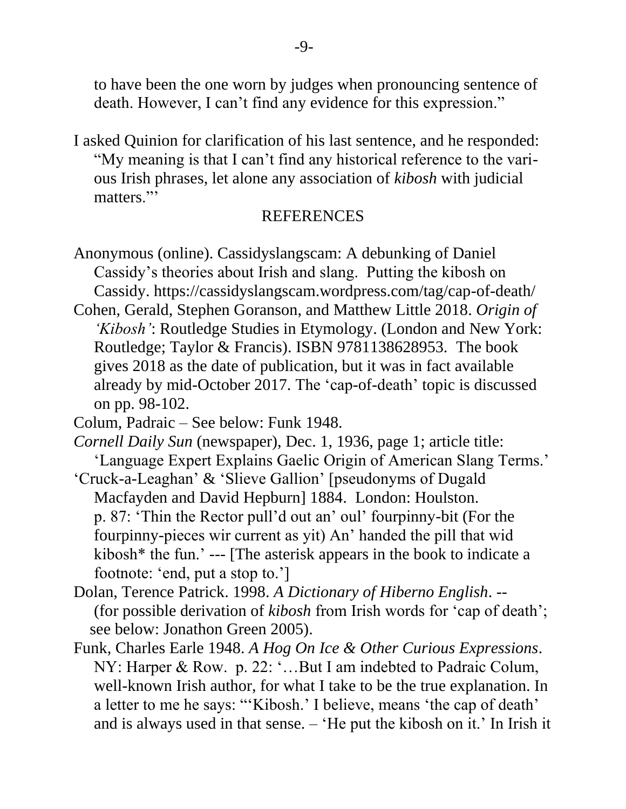to have been the one worn by judges when pronouncing sentence of death. However, I can't find any evidence for this expression."

I asked Quinion for clarification of his last sentence, and he responded: "My meaning is that I can't find any historical reference to the vari ous Irish phrases, let alone any association of *kibosh* with judicial matters."

#### REFERENCES

- Anonymous (online). Cassidyslangscam: A debunking of Daniel Cassidy's theories about Irish and slang. Putting the kibosh on Cassidy. https://cassidyslangscam.wordpress.com/tag/cap-of-death/
- Cohen, Gerald, Stephen Goranson, and Matthew Little 2018. *Origin of 'Kibosh'*: Routledge Studies in Etymology. (London and New York: Routledge; Taylor & Francis). ISBN 9781138628953. The book gives 2018 as the date of publication, but it was in fact available already by mid-October 2017. The 'cap-of-death' topic is discussed on pp. 98-102.
- Colum, Padraic See below: Funk 1948.
- *Cornell Daily Sun* (newspaper), Dec. 1, 1936, page 1; article title: 'Language Expert Explains Gaelic Origin of American Slang Terms.'
- 'Cruck-a-Leaghan' & 'Slieve Gallion' [pseudonyms of Dugald Macfayden and David Hepburn] 1884. London: Houlston. p. 87: 'Thin the Rector pull'd out an' oul' fourpinny-bit (For the fourpinny-pieces wir current as yit) An' handed the pill that wid kibosh\* the fun.' --- [The asterisk appears in the book to indicate a footnote: 'end, put a stop to.']
- Dolan, Terence Patrick. 1998. *A Dictionary of Hiberno English*. -- (for possible derivation of *kibosh* from Irish words for 'cap of death'; see below: Jonathon Green 2005).
- Funk, Charles Earle 1948. *A Hog On Ice & Other Curious Expressions*. NY: Harper & Row. p. 22: '…But I am indebted to Padraic Colum, well-known Irish author, for what I take to be the true explanation. In a letter to me he says: "'Kibosh.' I believe, means 'the cap of death' and is always used in that sense. – 'He put the kibosh on it.' In Irish it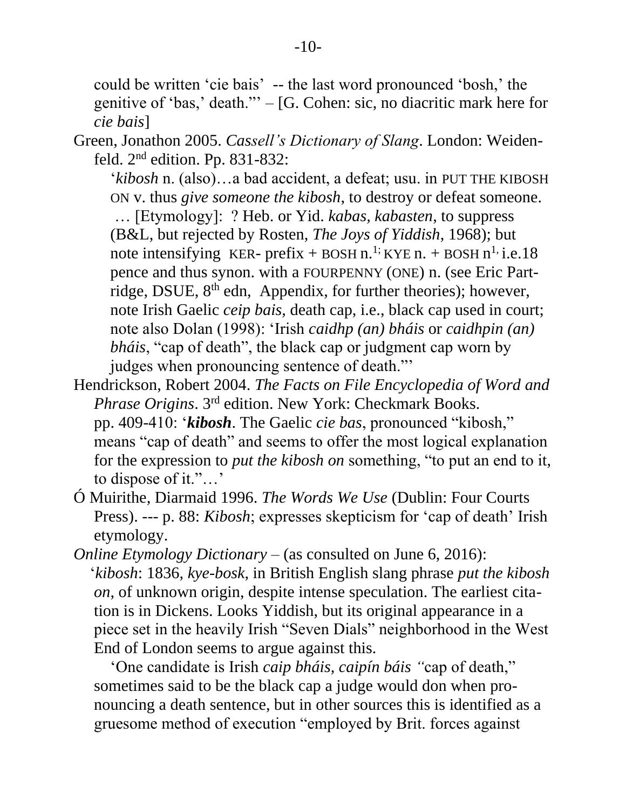could be written 'cie bais' -- the last word pronounced 'bosh,' the genitive of 'bas,' death."' – [G. Cohen: sic, no diacritic mark here for *cie bais*]

Green, Jonathon 2005. *Cassell's Dictionary of Slang*. London: Weiden feld. 2nd edition. Pp. 831-832:

'*kibosh* n. (also)…a bad accident, a defeat; usu. in PUT THE KIBOSH ON v. thus *give someone the kibosh*, to destroy or defeat someone. … [Etymology]: ? Heb. or Yid. *kabas, kabasten*, to suppress (B&L, but rejected by Rosten, *The Joys of Yiddish*, 1968); but note intensifying KER- prefix + BOSH n.<sup>1;</sup> KYE n. + BOSH n<sup>1</sup>; i.e.18 pence and thus synon. with a FOURPENNY (ONE) n. (see Eric Part ridge, DSUE, 8<sup>th</sup> edn, Appendix, for further theories); however, note Irish Gaelic *ceip bais,* death cap, i.e., black cap used in court; note also Dolan (1998): 'Irish *caidhp (an) bháis* or *caidhpin (an) bháis*, "cap of death", the black cap or judgment cap worn by judges when pronouncing sentence of death."'

- Hendrickson, Robert 2004. *The Facts on File Encyclopedia of Word and Phrase Origins*. 3rd edition. New York: Checkmark Books. pp. 409-410: '*kibosh*. The Gaelic *cie bas*, pronounced "kibosh," means "cap of death" and seems to offer the most logical explanation for the expression to *put the kibosh on* something, "to put an end to it, to dispose of it."…'
- Ó Muirithe, Diarmaid 1996. *The Words We Use* (Dublin: Four Courts Press). --- p. 88: *Kibosh*; expresses skepticism for 'cap of death' Irish etymology.
- *Online Etymology Dictionary* (as consulted on June 6, 2016): '*kibosh*: 1836, *kye-bosk*, in British English slang phrase *put the kibosh on*, of unknown origin, despite intense speculation. The earliest cita tion is in Dickens. Looks Yiddish, but its original appearance in a piece set in the heavily Irish "Seven Dials" neighborhood in the West End of London seems to argue against this.

 'One candidate is Irish *caip bháis, caipín báis "*cap of death," sometimes said to be the black cap a judge would don when pro nouncing a death sentence, but in other sources this is identified as a gruesome method of execution "employed by Brit. forces against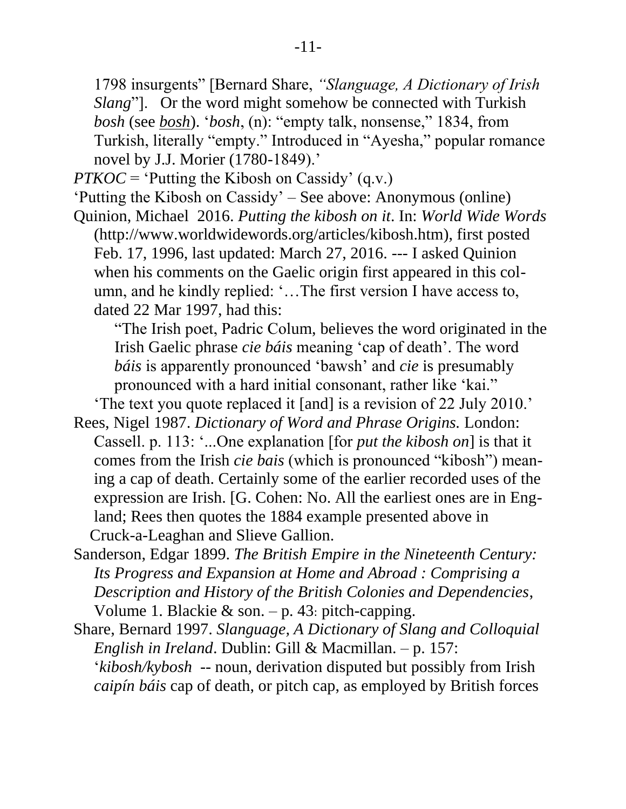1798 insurgents" [Bernard Share, *"Slanguage, A Dictionary of Irish Slang*"]. Or the word might somehow be connected with Turkish *bosh* (see *[bosh](http://www.etymonline.com/index.php?term=bosh&allowed_in_frame=0)*). '*bosh*, (n): "empty talk, nonsense," 1834, from Turkish, literally "empty." Introduced in "Ayesha," popular romance novel by J.J. Morier (1780-1849).'

*PTKOC* = 'Putting the Kibosh on Cassidy' (q.v.)

'Putting the Kibosh on Cassidy' – See above: Anonymous (online)

Quinion, Michael 2016. *Putting the kibosh on it*. In: *World Wide Words* [\(http://www.worldwidewords.org/articles/kibosh.htm\)](https://minermail.mst.edu/owa/redir.aspx?SURL=yKkE_IbiepgMeLFmrnTPNMP2Cj_0mwsoWlXJHsEsL6IFCxDWyLHTCGgAdAB0AHAAOgAvAC8AdwB3AHcALgB3AG8AcgBsAGQAdwBpAGQAZQB3AG8AcgBkAHMALgBvAHIAZwAvAGEAcgB0AGkAYwBsAGUAcwAvAGsAaQBiAG8AcwBoAC4AaAB0AG0A&URL=http%3a%2f%2fwww.worldwidewords.org%2farticles%2fkibosh.htm), first posted Feb. 17, 1996, last updated: March 27, 2016. --- I asked Quinion when his comments on the Gaelic origin first appeared in this col umn, and he kindly replied: '…The first version I have access to, dated 22 Mar 1997, had this:

 "The Irish poet, Padric Colum, believes the word originated in the Irish Gaelic phrase *cie báis* meaning 'cap of death'. The word *báis* is apparently pronounced 'bawsh' and *cie* is presumably pronounced with a hard initial consonant, rather like 'kai."

'The text you quote replaced it [and] is a revision of 22 July 2010.'

- Rees, Nigel 1987. *Dictionary of Word and Phrase Origins.* London: Cassell. p. 113: '...One explanation [for *put the kibosh on*] is that it comes from the Irish *cie bais* (which is pronounced "kibosh") mean ing a cap of death. Certainly some of the earlier recorded uses of the expression are Irish. [G. Cohen: No. All the earliest ones are in Eng land; Rees then quotes the 1884 example presented above in Cruck-a-Leaghan and Slieve Gallion.
- Sanderson, Edgar 1899. *The British Empire in the Nineteenth Century: Its Progress and Expansion at Home and Abroad : Comprising a Description and History of the British Colonies and Dependencies*, Volume 1. Blackie & son.  $-p$ . 43: pitch-capping.

Share, Bernard 1997. *Slanguage, A Dictionary of Slang and Colloquial English in Ireland*. Dublin: Gill & Macmillan. – p. 157: '*kibosh/kybosh* -- noun, derivation disputed but possibly from Irish *caipín báis* cap of death, or pitch cap, as employed by British forces